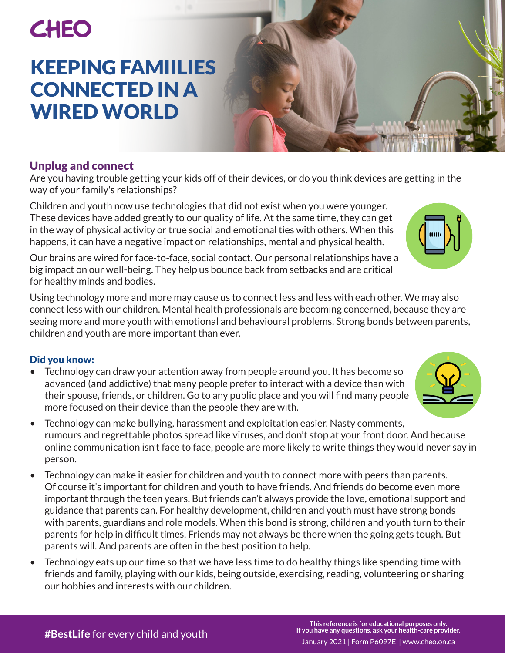# **CHEO**

## KEEPING FAMIILIES CONNECTED IN A WIRED WORLD

### Unplug and connect

Are you having trouble getting your kids off of their devices, or do you think devices are getting in the way of your family's relationships?

Children and youth now use technologies that did not exist when you were younger. These devices have added greatly to our quality of life. At the same time, they can get in the way of physical activity or true social and emotional ties with others. When this happens, it can have a negative impact on relationships, mental and physical health.

Our brains are wired for face-to-face, social contact. Our personal relationships have a big impact on our well-being. They help us bounce back from setbacks and are critical for healthy minds and bodies.

Using technology more and more may cause us to connect less and less with each other. We may also connect less with our children. Mental health professionals are becoming concerned, because they are seeing more and more youth with emotional and behavioural problems. Strong bonds between parents, children and youth are more important than ever.

#### Did you know:

- Technology can draw your attention away from people around you. It has become so advanced (and addictive) that many people prefer to interact with a device than with their spouse, friends, or children. Go to any public place and you will find many people more focused on their device than the people they are with.
- Technology can make bullying, harassment and exploitation easier. Nasty comments, rumours and regrettable photos spread like viruses, and don't stop at your front door. And because online communication isn't face to face, people are more likely to write things they would never say in person.
- Technology can make it easier for children and youth to connect more with peers than parents. Of course it's important for children and youth to have friends. And friends do become even more important through the teen years. But friends can't always provide the love, emotional support and guidance that parents can. For healthy development, children and youth must have strong bonds with parents, guardians and role models. When this bond is strong, children and youth turn to their parents for help in difficult times. Friends may not always be there when the going gets tough. But parents will. And parents are often in the best position to help.
- Technology eats up our time so that we have less time to do healthy things like spending time with friends and family, playing with our kids, being outside, exercising, reading, volunteering or sharing our hobbies and interests with our children.



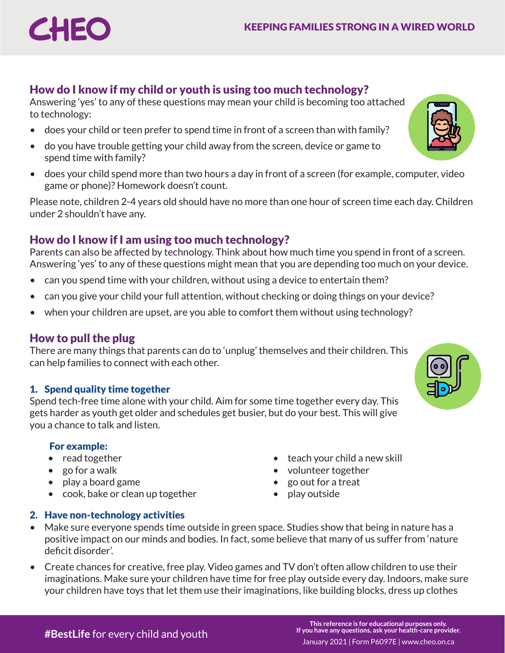#### How do I know if my child or youth is using too much technology?

Answering 'yes' to any of these questions may mean your child is becoming too attached to technology:

- does your child or teen prefer to spend time in front of a screen than with family?
- do you have trouble getting your child away from the screen, device or game to spend time with family?
- does your child spend more than two hours a day in front of a screen (for example, computer, video game or phone)? Homework doesn't count.

Please note, children 2-4 years old should have no more than one hour of screen time each day. Children under 2 shouldn't have any.

#### How do I know if I am using too much technology?

Parents can also be affected by technology. Think about how much time you spend in front of a screen. Answering 'yes' to any of these questions might mean that you are depending too much on your device.

- can you spend time with your children, without using a device to entertain them?
- can you give your child your full attention, without checking or doing things on your device?
- when your children are upset, are you able to comfort them without using technology?

#### How to pull the plug

**CHEC** 

There are many things that parents can do to 'unplug' themselves and their children. This can help families to connect with each other.

#### 1. Spend quality time together

Spend tech-free time alone with your child. Aim for some time together every day. This gets harder as youth get older and schedules get busier, but do your best. This will give you a chance to talk and listen.

#### For example:

- read together teach your child a new skill
- go for a walk volunteer together
- play a board game
- cook, bake or clean up together play outside
- 
- 
- 

#### 2. Have non-technology activities

- Make sure everyone spends time outside in green space. Studies show that being in nature has a positive impact on our minds and bodies. In fact, some believe that many of us suffer from 'nature deficit disorder'.
- Create chances for creative, free play. Video games and TV don't often allow children to use their imaginations. Make sure your children have time for free play outside every day. Indoors, make sure your children have toys that let them use their imaginations, like building blocks, dress up clothes



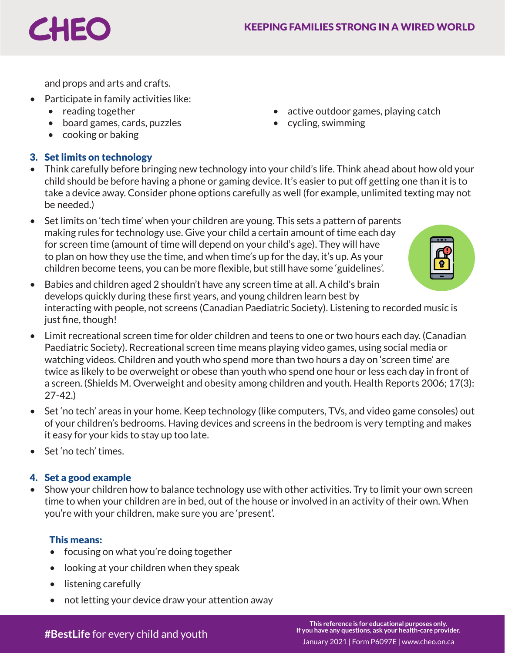and props and arts and crafts.

- Participate in family activities like:
	- reading together active outdoor games, playing catch

CHEC

- board games, cards, puzzles cycling, swimming
- cooking or baking

#### 3. Set limits on technology

- Think carefully before bringing new technology into your child's life. Think ahead about how old your child should be before having a phone or gaming device. It's easier to put off getting one than it is to take a device away. Consider phone options carefully as well (for example, unlimited texting may not be needed.)
- Set limits on 'tech time' when your children are young. This sets a pattern of parents making rules for technology use. Give your child a certain amount of time each day for screen time (amount of time will depend on your child's age). They will have to plan on how they use the time, and when time's up for the day, it's up. As your children become teens, you can be more flexible, but still have some 'guidelines'.



- Babies and children aged 2 shouldn't have any screen time at all. A child's brain develops quickly during these first years, and young children learn best by interacting with people, not screens (Canadian Paediatric Society). Listening to recorded music is just fine, though!
- Limit recreational screen time for older children and teens to one or two hours each day. (Canadian Paediatric Society). Recreational screen time means playing video games, using social media or watching videos. Children and youth who spend more than two hours a day on 'screen time' are twice as likely to be overweight or obese than youth who spend one hour or less each day in front of a screen. (Shields M. Overweight and obesity among children and youth. Health Reports 2006; 17(3): 27-42.)
- Set 'no tech' areas in your home. Keep technology (like computers, TVs, and video game consoles) out of your children's bedrooms. Having devices and screens in the bedroom is very tempting and makes it easy for your kids to stay up too late.
- Set 'no tech' times.

#### 4. Set a good example

• Show your children how to balance technology use with other activities. Try to limit your own screen time to when your children are in bed, out of the house or involved in an activity of their own. When you're with your children, make sure you are 'present'.

#### This means:

- focusing on what you're doing together
- looking at your children when they speak
- listening carefully
- not letting your device draw your attention away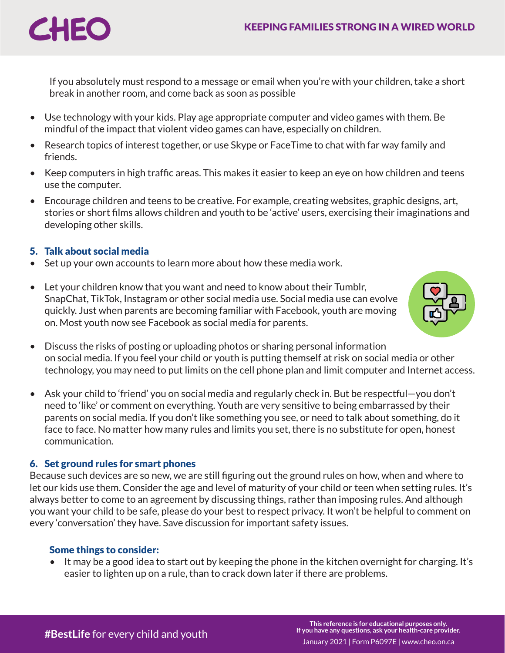

If you absolutely must respond to a message or email when you're with your children, take a short break in another room, and come back as soon as possible

- Use technology with your kids. Play age appropriate computer and video games with them. Be mindful of the impact that violent video games can have, especially on children.
- Research topics of interest together, or use Skype or FaceTime to chat with far way family and friends.
- Keep computers in high traffic areas. This makes it easier to keep an eye on how children and teens use the computer.
- Encourage children and teens to be creative. For example, creating websites, graphic designs, art, stories or short films allows children and youth to be 'active' users, exercising their imaginations and developing other skills.

#### 5. Talk about social media

- Set up your own accounts to learn more about how these media work.
- Let your children know that you want and need to know about their Tumblr, SnapChat, TikTok, Instagram or other social media use. Social media use can evolve quickly. Just when parents are becoming familiar with Facebook, youth are moving on. Most youth now see Facebook as social media for parents.



- Discuss the risks of posting or uploading photos or sharing personal information on social media. If you feel your child or youth is putting themself at risk on social media or other technology, you may need to put limits on the cell phone plan and limit computer and Internet access.
- Ask your child to 'friend' you on social media and regularly check in. But be respectful—you don't need to 'like' or comment on everything. Youth are very sensitive to being embarrassed by their parents on social media. If you don't like something you see, or need to talk about something, do it face to face. No matter how many rules and limits you set, there is no substitute for open, honest communication.

#### 6. Set ground rules for smart phones

Because such devices are so new, we are still figuring out the ground rules on how, when and where to let our kids use them. Consider the age and level of maturity of your child or teen when setting rules. It's always better to come to an agreement by discussing things, rather than imposing rules. And although you want your child to be safe, please do your best to respect privacy. It won't be helpful to comment on every 'conversation' they have. Save discussion for important safety issues.

#### Some things to consider:

• It may be a good idea to start out by keeping the phone in the kitchen overnight for charging. It's easier to lighten up on a rule, than to crack down later if there are problems.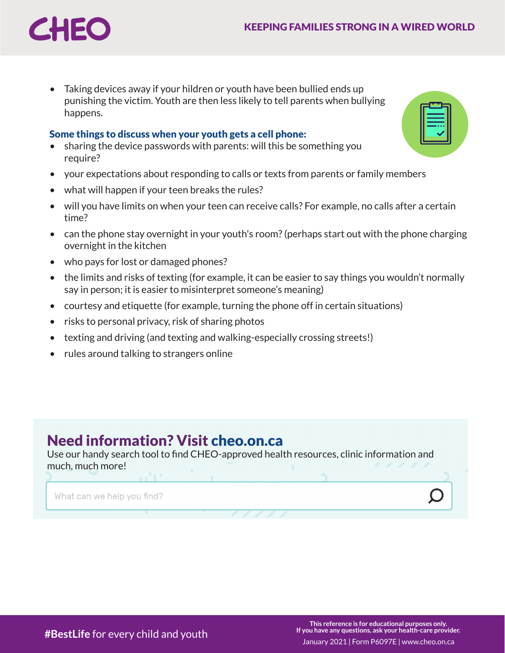

• Taking devices away if your hildren or youth have been bullied ends up punishing the victim. Youth are then less likely to tell parents when bullying happens.

#### Some things to discuss when your youth gets a cell phone:

- sharing the device passwords with parents: will this be something you require?
- your expectations about responding to calls or texts from parents or family members
- what will happen if your teen breaks the rules?
- will you have limits on when your teen can receive calls? For example, no calls after a certain time?
- can the phone stay overnight in your youth's room? (perhaps start out with the phone charging overnight in the kitchen
- who pays for lost or damaged phones?
- the limits and risks of texting (for example, it can be easier to say things you wouldn't normally say in person; it is easier to misinterpret someone's meaning)
- courtesy and etiquette (for example, turning the phone off in certain situations)
- risks to personal privacy, risk of sharing photos
- texting and driving (and texting and walking-especially crossing streets!)
- rules around talking to strangers online

## Need information? Visit [cheo.on.ca](https://cheo.on.ca)

Use our handy search tool to find CHEO-approved health resources, clinic information and much, much more!

What can we help you find?

| ==        |  |
|-----------|--|
| $\bullet$ |  |
|           |  |